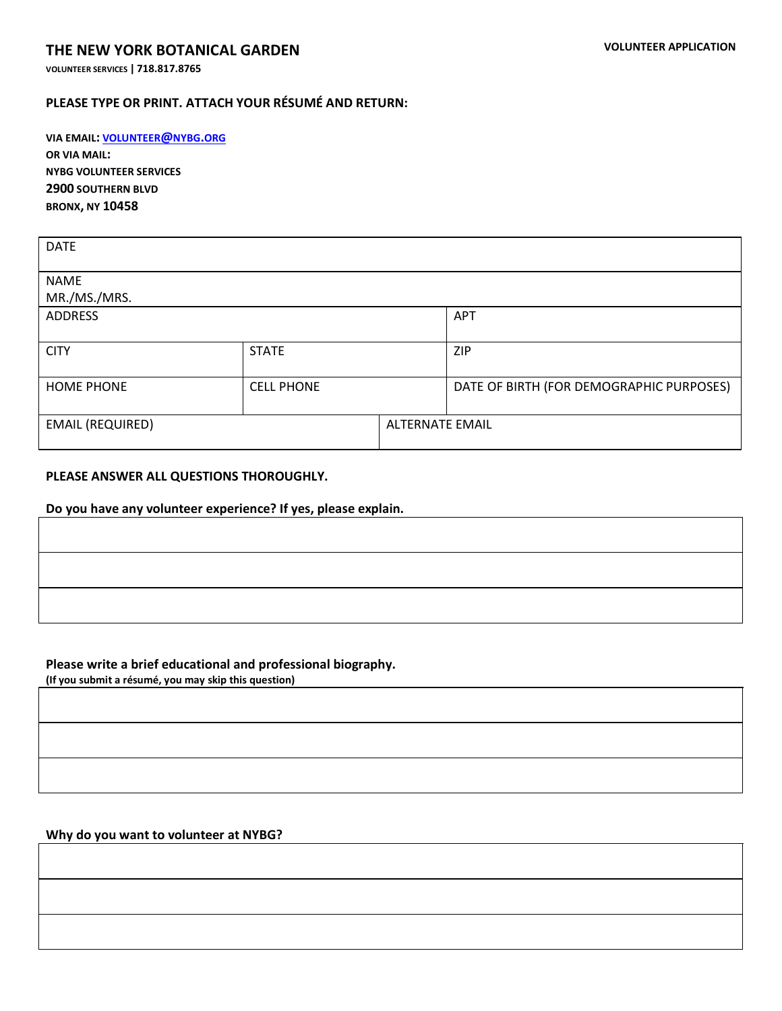**VOLUNTEER SERVICES | 718.817.8765**

## **PLEASE TYPE OR PRINT. ATTACH YOUR RÉSUMÉ AND RETURN:**

**VIA EMAIL: [VOLUNTEER](mailto:volunteer@nybg.org)@NYBG.ORG OR VIA MAIL: NYBG VOLUNTEER SERVICES 2900 SOUTHERN BLVD BRONX, NY 10458**

| <b>DATE</b>             |                   |                        |                                          |  |
|-------------------------|-------------------|------------------------|------------------------------------------|--|
| <b>NAME</b>             |                   |                        |                                          |  |
| MR./MS./MRS.            |                   |                        |                                          |  |
| ADDRESS                 |                   |                        | APT                                      |  |
|                         |                   |                        |                                          |  |
| <b>CITY</b>             | <b>STATE</b>      |                        | <b>ZIP</b>                               |  |
|                         |                   |                        |                                          |  |
| <b>HOME PHONE</b>       | <b>CELL PHONE</b> |                        | DATE OF BIRTH (FOR DEMOGRAPHIC PURPOSES) |  |
|                         |                   |                        |                                          |  |
| <b>EMAIL (REQUIRED)</b> |                   | <b>ALTERNATE EMAIL</b> |                                          |  |
|                         |                   |                        |                                          |  |

### **PLEASE ANSWER ALL QUESTIONS THOROUGHLY.**

**Do you have any volunteer experience? If yes, please explain.** 

### **Please write a brief educational and professional biography.**

**(If you submit a résumé, you may skip this question)**

### **Why do you want to volunteer at NYBG?**